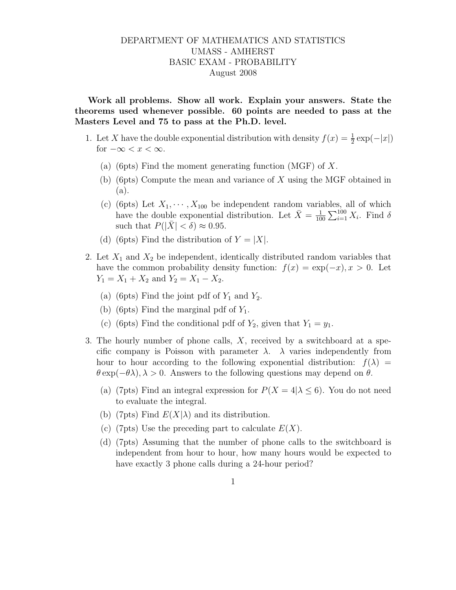## DEPARTMENT OF MATHEMATICS AND STATISTICS UMASS - AMHERST BASIC EXAM - PROBABILITY August 2008

Work all problems. Show all work. Explain your answers. State the theorems used whenever possible. 60 points are needed to pass at the Masters Level and 75 to pass at the Ph.D. level.

- 1. Let X have the double exponential distribution with density  $f(x) = \frac{1}{2} \exp(-|x|)$ for  $-\infty < x < \infty$ .
	- (a) (6pts) Find the moment generating function (MGF) of X.
	- (b) (6pts) Compute the mean and variance of  $X$  using the MGF obtained in (a).
	- (c) (6pts) Let  $X_1, \dots, X_{100}$  be independent random variables, all of which have the double exponential distribution. Let  $\bar{X} = \frac{1}{10}$  $\frac{1}{100} \sum_{i=1}^{100} X_i$ . Find  $\delta$ such that  $P(|\bar{X}| < \delta) \approx 0.95$ .
	- (d) (6pts) Find the distribution of  $Y = |X|$ .
- 2. Let  $X_1$  and  $X_2$  be independent, identically distributed random variables that have the common probability density function:  $f(x) = \exp(-x), x > 0$ . Let  $Y_1 = X_1 + X_2$  and  $Y_2 = X_1 - X_2$ .
	- (a) (6pts) Find the joint pdf of  $Y_1$  and  $Y_2$ .
	- (b) (6pts) Find the marginal pdf of  $Y_1$ .
	- (c) (6pts) Find the conditional pdf of  $Y_2$ , given that  $Y_1 = y_1$ .
- 3. The hourly number of phone calls,  $X$ , received by a switchboard at a specific company is Poisson with parameter  $\lambda$ .  $\lambda$  varies independently from hour to hour according to the following exponential distribution:  $f(\lambda)$  =  $\theta \exp(-\theta \lambda), \lambda > 0$ . Answers to the following questions may depend on  $\theta$ .
	- (a) (7pts) Find an integral expression for  $P(X = 4 | \lambda \le 6)$ . You do not need to evaluate the integral.
	- (b) (7pts) Find  $E(X|\lambda)$  and its distribution.
	- (c) (7pts) Use the preceding part to calculate  $E(X)$ .
	- (d) (7pts) Assuming that the number of phone calls to the switchboard is independent from hour to hour, how many hours would be expected to have exactly 3 phone calls during a 24-hour period?